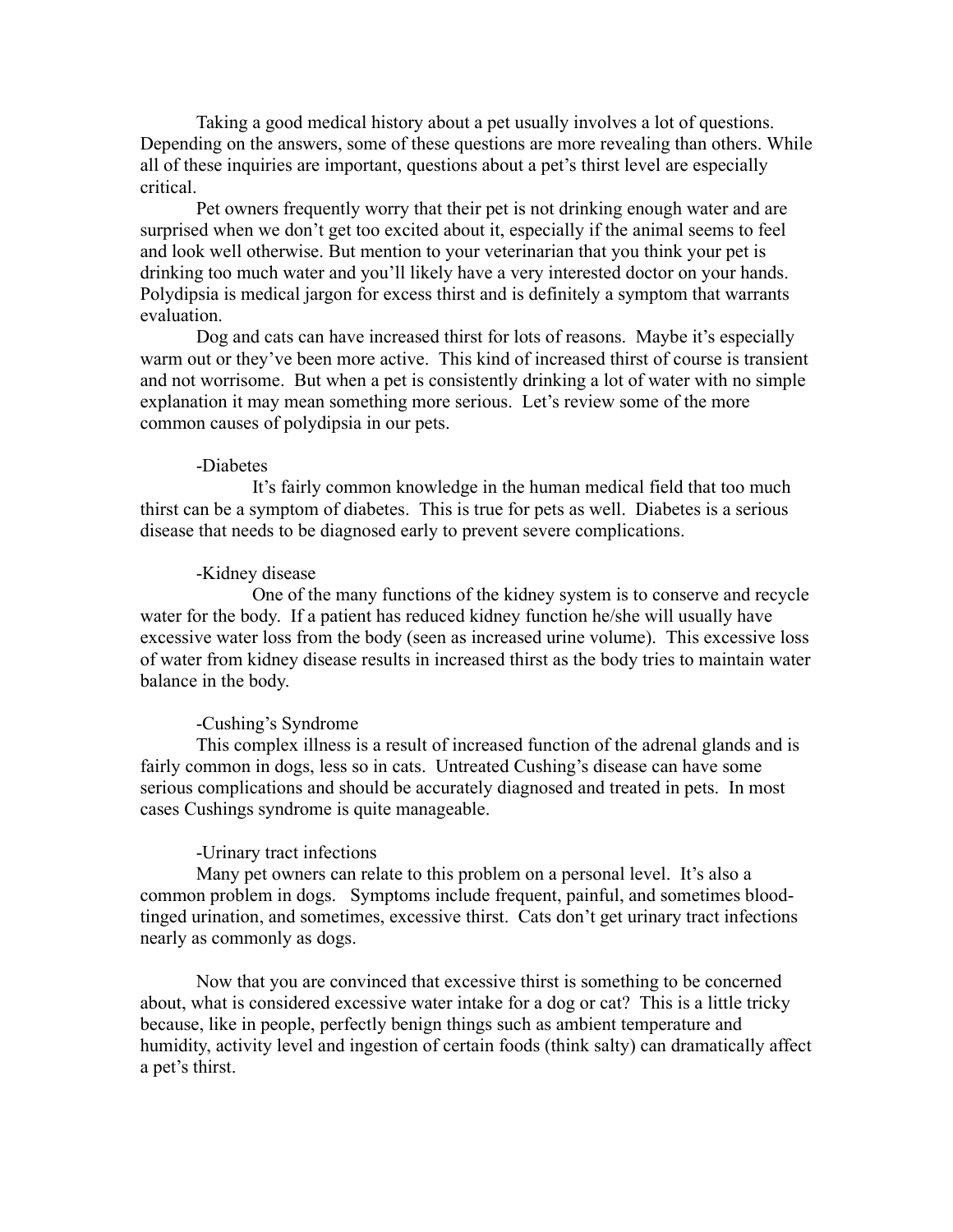Taking a good medical history about a pet usually involves a lot of questions. Depending on the answers, some of these questions are more revealing than others. While all of these inquiries are important, questions about a pet's thirst level are especially critical.

Pet owners frequently worry that their pet is not drinking enough water and are surprised when we don't get too excited about it, especially if the animal seems to feel and look well otherwise. But mention to your veterinarian that you think your pet is drinking too much water and you'll likely have a very interested doctor on your hands. Polydipsia is medical jargon for excess thirst and is definitely a symptom that warrants evaluation.

Dog and cats can have increased thirst for lots of reasons. Maybe it's especially warm out or they've been more active. This kind of increased thirst of course is transient and not worrisome. But when a pet is consistently drinking a lot of water with no simple explanation it may mean something more serious. Let's review some of the more common causes of polydipsia in our pets.

## -Diabetes

It's fairly common knowledge in the human medical field that too much thirst can be a symptom of diabetes. This is true for pets as well. Diabetes is a serious disease that needs to be diagnosed early to prevent severe complications.

## -Kidney disease

One of the many functions of the kidney system is to conserve and recycle water for the body. If a patient has reduced kidney function he/she will usually have excessive water loss from the body (seen as increased urine volume). This excessive loss of water from kidney disease results in increased thirst as the body tries to maintain water balance in the body.

## -Cushing's Syndrome

This complex illness is a result of increased function of the adrenal glands and is fairly common in dogs, less so in cats. Untreated Cushing's disease can have some serious complications and should be accurately diagnosed and treated in pets. In most cases Cushings syndrome is quite manageable.

## -Urinary tract infections

Many pet owners can relate to this problem on a personal level. It's also a common problem in dogs. Symptoms include frequent, painful, and sometimes bloodtinged urination, and sometimes, excessive thirst. Cats don't get urinary tract infections nearly as commonly as dogs.

Now that you are convinced that excessive thirst is something to be concerned about, what is considered excessive water intake for a dog or cat? This is a little tricky because, like in people, perfectly benign things such as ambient temperature and humidity, activity level and ingestion of certain foods (think salty) can dramatically affect a pet's thirst.